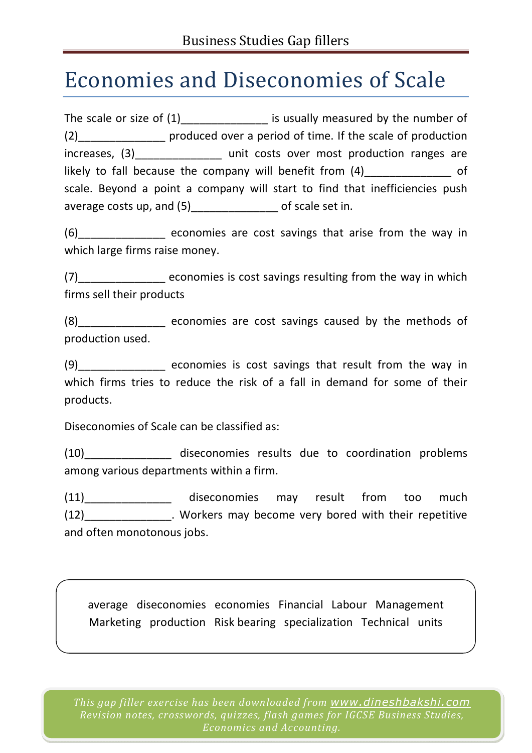## Economies and Diseconomies of Scale

The scale or size of  $(1)$  is usually measured by the number of (2)\_\_\_\_\_\_\_\_\_\_\_\_\_\_ produced over a period of time. If the scale of production increases, (3)\_\_\_\_\_\_\_\_\_\_\_\_\_\_\_\_ unit costs over most production ranges are likely to fall because the company will benefit from  $(4)$  of scale. Beyond a point a company will start to find that inefficiencies push average costs up, and (5) of scale set in.

(6)\_\_\_\_\_\_\_\_\_\_\_\_\_\_ economies are cost savings that arise from the way in which large firms raise money.

(7)\_\_\_\_\_\_\_\_\_\_\_\_\_\_ economies is cost savings resulting from the way in which firms sell their products

(8) economies are cost savings caused by the methods of production used.

(9)\_\_\_\_\_\_\_\_\_\_\_\_\_\_ economies is cost savings that result from the way in which firms tries to reduce the risk of a fall in demand for some of their products.

Diseconomies of Scale can be classified as:

(10)\_\_\_\_\_\_\_\_\_\_\_\_\_\_ diseconomies results due to coordination problems among various departments within a firm.

(11)\_\_\_\_\_\_\_\_\_\_\_\_\_\_ diseconomies may result from too much (12) Sand Conserved Workers may become very bored with their repetitive and often monotonous jobs.

average diseconomies economies Financial Labour Management Marketing production Risk bearing specialization Technical units

*This gap filler exercise has been downloaded from www.dineshbakshi.com Revision notes, crosswords, quizzes, flash games for IGCSE Business Studies, Economics and Accounting.*